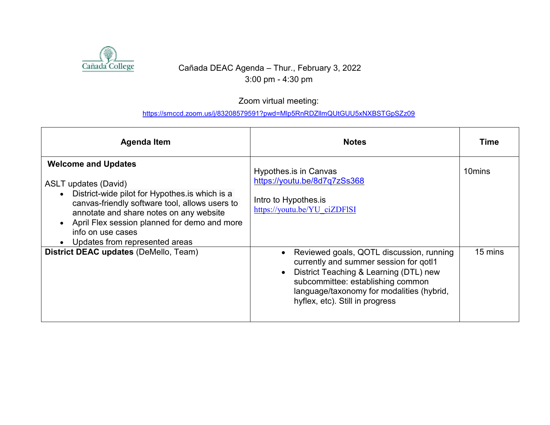

## Cañada DEAC Agenda – Thur., February 3, 2022 3:00 pm - 4:30 pm

## Zoom virtual meeting:

## <https://smccd.zoom.us/j/83208579591?pwd=Mlp5RnRDZllmQUtGUU5xNXBSTGpSZz09>

| Agenda Item                                                                                                                                                                                                                                                                                                                    | <b>Notes</b>                                                                                                                                                                                                                                      | Time                          |
|--------------------------------------------------------------------------------------------------------------------------------------------------------------------------------------------------------------------------------------------------------------------------------------------------------------------------------|---------------------------------------------------------------------------------------------------------------------------------------------------------------------------------------------------------------------------------------------------|-------------------------------|
| <b>Welcome and Updates</b><br><b>ASLT</b> updates (David)<br>District-wide pilot for Hypothes is which is a<br>$\bullet$<br>canvas-friendly software tool, allows users to<br>annotate and share notes on any website<br>April Flex session planned for demo and more<br>info on use cases<br>• Updates from represented areas | Hypothes is in Canvas<br>https://youtu.be/8d7q7zSs368<br>Intro to Hypothes.is<br>https://youtu.be/YU ciZDFISI                                                                                                                                     | 10 <sub>mins</sub><br>15 mins |
| District DEAC updates (DeMello, Team)                                                                                                                                                                                                                                                                                          | Reviewed goals, QOTL discussion, running<br>currently and summer session for gotl1<br>District Teaching & Learning (DTL) new<br>subcommittee: establishing common<br>language/taxonomy for modalities (hybrid,<br>hyflex, etc). Still in progress |                               |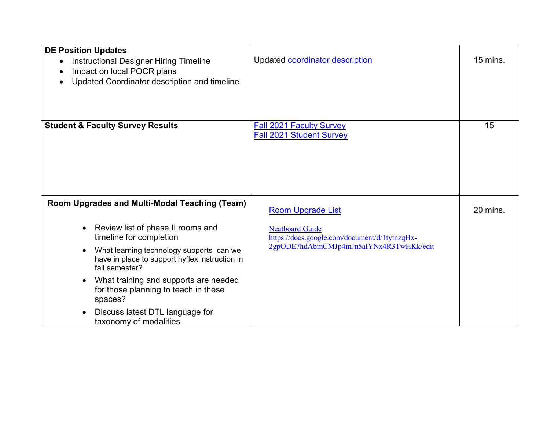| <b>DE Position Updates</b><br><b>Instructional Designer Hiring Timeline</b><br>$\bullet$<br>Impact on local POCR plans<br>Updated Coordinator description and timeline | Updated coordinator description                                         | 15 mins. |
|------------------------------------------------------------------------------------------------------------------------------------------------------------------------|-------------------------------------------------------------------------|----------|
| <b>Student &amp; Faculty Survey Results</b>                                                                                                                            | <b>Fall 2021 Faculty Survey</b><br><b>Fall 2021 Student Survey</b>      | 15       |
| Room Upgrades and Multi-Modal Teaching (Team)                                                                                                                          | <b>Room Upgrade List</b>                                                | 20 mins. |
| Review list of phase II rooms and<br>timeline for completion                                                                                                           | <b>Neatboard Guide</b><br>https://docs.google.com/document/d/1tytnzqHx- |          |
| What learning technology supports can we<br>have in place to support hyflex instruction in<br>fall semester?                                                           | 2gpODE7hdAbmCMJp4mJn5aIYNx4R3TwHKk/edit                                 |          |
| What training and supports are needed<br>for those planning to teach in these<br>spaces?                                                                               |                                                                         |          |
| Discuss latest DTL language for<br>taxonomy of modalities                                                                                                              |                                                                         |          |